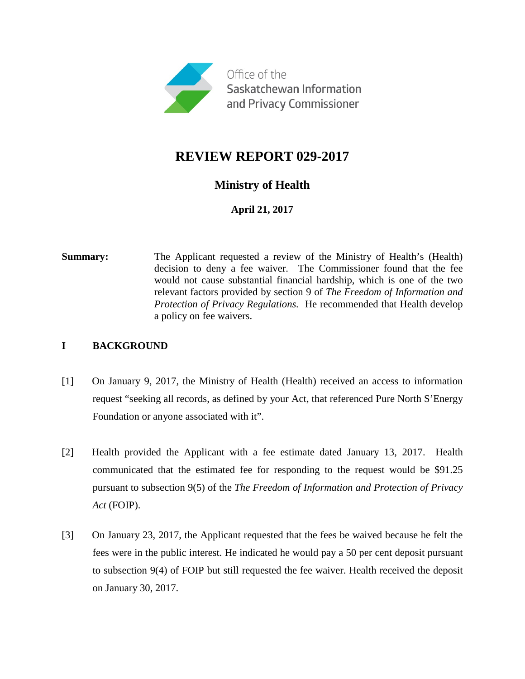

# **REVIEW REPORT 029-2017**

## **Ministry of Health**

**April 21, 2017**

**Summary:** The Applicant requested a review of the Ministry of Health's (Health) decision to deny a fee waiver. The Commissioner found that the fee would not cause substantial financial hardship, which is one of the two relevant factors provided by section 9 of *The Freedom of Information and Protection of Privacy Regulations.* He recommended that Health develop a policy on fee waivers.

#### **I BACKGROUND**

- [1] On January 9, 2017, the Ministry of Health (Health) received an access to information request "seeking all records, as defined by your Act, that referenced Pure North S'Energy Foundation or anyone associated with it".
- [2] Health provided the Applicant with a fee estimate dated January 13, 2017. Health communicated that the estimated fee for responding to the request would be \$91.25 pursuant to subsection 9(5) of the *The Freedom of Information and Protection of Privacy Act* (FOIP).
- [3] On January 23, 2017, the Applicant requested that the fees be waived because he felt the fees were in the public interest. He indicated he would pay a 50 per cent deposit pursuant to subsection 9(4) of FOIP but still requested the fee waiver. Health received the deposit on January 30, 2017.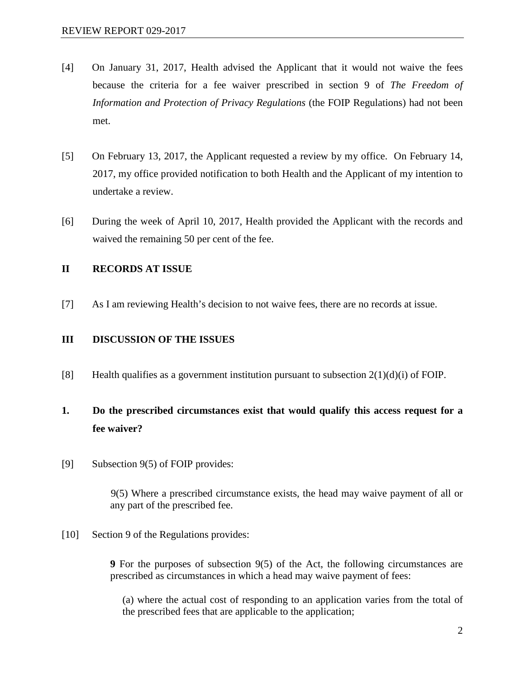- [4] On January 31, 2017, Health advised the Applicant that it would not waive the fees because the criteria for a fee waiver prescribed in section 9 of *The Freedom of Information and Protection of Privacy Regulations* (the FOIP Regulations) had not been met.
- [5] On February 13, 2017, the Applicant requested a review by my office. On February 14, 2017, my office provided notification to both Health and the Applicant of my intention to undertake a review.
- [6] During the week of April 10, 2017, Health provided the Applicant with the records and waived the remaining 50 per cent of the fee.

#### **II RECORDS AT ISSUE**

[7] As I am reviewing Health's decision to not waive fees, there are no records at issue.

#### **III DISCUSSION OF THE ISSUES**

[8] Health qualifies as a government institution pursuant to subsection  $2(1)(d)(i)$  of FOIP.

# **1. Do the prescribed circumstances exist that would qualify this access request for a fee waiver?**

[9] Subsection 9(5) of FOIP provides:

9(5) Where a prescribed circumstance exists, the head may waive payment of all or any part of the prescribed fee.

[10] Section 9 of the Regulations provides:

**9** For the purposes of subsection 9(5) of the Act, the following circumstances are prescribed as circumstances in which a head may waive payment of fees:

(a) where the actual cost of responding to an application varies from the total of the prescribed fees that are applicable to the application;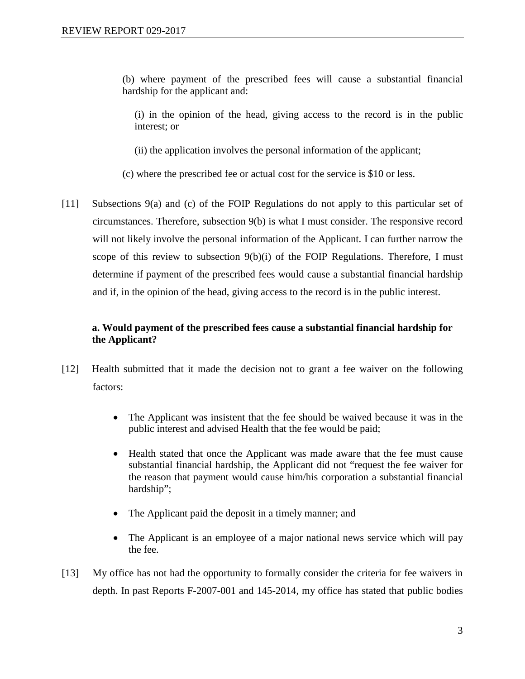(b) where payment of the prescribed fees will cause a substantial financial hardship for the applicant and:

(i) in the opinion of the head, giving access to the record is in the public interest; or

(ii) the application involves the personal information of the applicant;

(c) where the prescribed fee or actual cost for the service is \$10 or less.

[11] Subsections 9(a) and (c) of the FOIP Regulations do not apply to this particular set of circumstances. Therefore, subsection 9(b) is what I must consider. The responsive record will not likely involve the personal information of the Applicant. I can further narrow the scope of this review to subsection 9(b)(i) of the FOIP Regulations. Therefore, I must determine if payment of the prescribed fees would cause a substantial financial hardship and if, in the opinion of the head, giving access to the record is in the public interest.

### **a. Would payment of the prescribed fees cause a substantial financial hardship for the Applicant?**

- [12] Health submitted that it made the decision not to grant a fee waiver on the following factors:
	- The Applicant was insistent that the fee should be waived because it was in the public interest and advised Health that the fee would be paid;
	- Health stated that once the Applicant was made aware that the fee must cause substantial financial hardship, the Applicant did not "request the fee waiver for the reason that payment would cause him/his corporation a substantial financial hardship";
	- The Applicant paid the deposit in a timely manner; and
	- The Applicant is an employee of a major national news service which will pay the fee.
- [13] My office has not had the opportunity to formally consider the criteria for fee waivers in depth. In past Reports F-2007-001 and 145-2014, my office has stated that public bodies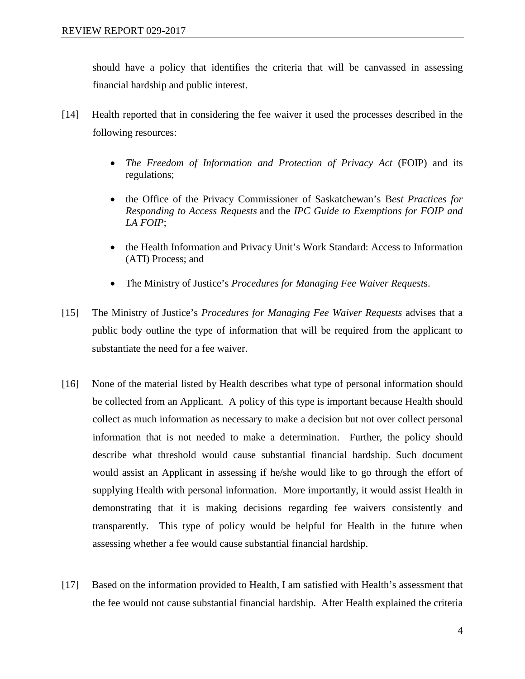should have a policy that identifies the criteria that will be canvassed in assessing financial hardship and public interest.

- [14] Health reported that in considering the fee waiver it used the processes described in the following resources:
	- *The Freedom of Information and Protection of Privacy Act* (FOIP) and its regulations;
	- the Office of the Privacy Commissioner of Saskatchewan's B*est Practices for Responding to Access Requests* and the *IPC Guide to Exemptions for FOIP and LA FOIP*;
	- the Health Information and Privacy Unit's Work Standard: Access to Information (ATI) Process; and
	- The Ministry of Justice's *Procedures for Managing Fee Waiver Request*s.
- [15] The Ministry of Justice's *Procedures for Managing Fee Waiver Requests* advises that a public body outline the type of information that will be required from the applicant to substantiate the need for a fee waiver.
- [16] None of the material listed by Health describes what type of personal information should be collected from an Applicant. A policy of this type is important because Health should collect as much information as necessary to make a decision but not over collect personal information that is not needed to make a determination. Further, the policy should describe what threshold would cause substantial financial hardship. Such document would assist an Applicant in assessing if he/she would like to go through the effort of supplying Health with personal information. More importantly, it would assist Health in demonstrating that it is making decisions regarding fee waivers consistently and transparently. This type of policy would be helpful for Health in the future when assessing whether a fee would cause substantial financial hardship.
- [17] Based on the information provided to Health, I am satisfied with Health's assessment that the fee would not cause substantial financial hardship. After Health explained the criteria